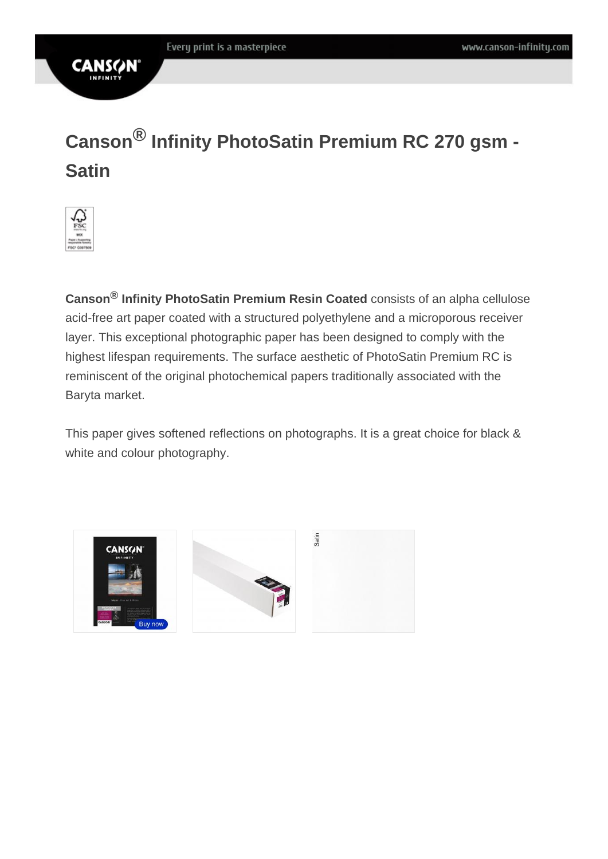## **CANS**

# **Canson® Infinity PhotoSatin Premium RC 270 gsm - Satin**



**Canson® Infinity PhotoSatin Premium Resin Coated** consists of an alpha cellulose acid-free art paper coated with a structured polyethylene and a microporous receiver layer. This exceptional photographic paper has been designed to comply with the highest lifespan requirements. The surface aesthetic of PhotoSatin Premium RC is reminiscent of the original photochemical papers traditionally associated with the Baryta market.

This paper gives softened reflections on photographs. It is a great choice for black & white and colour photography.

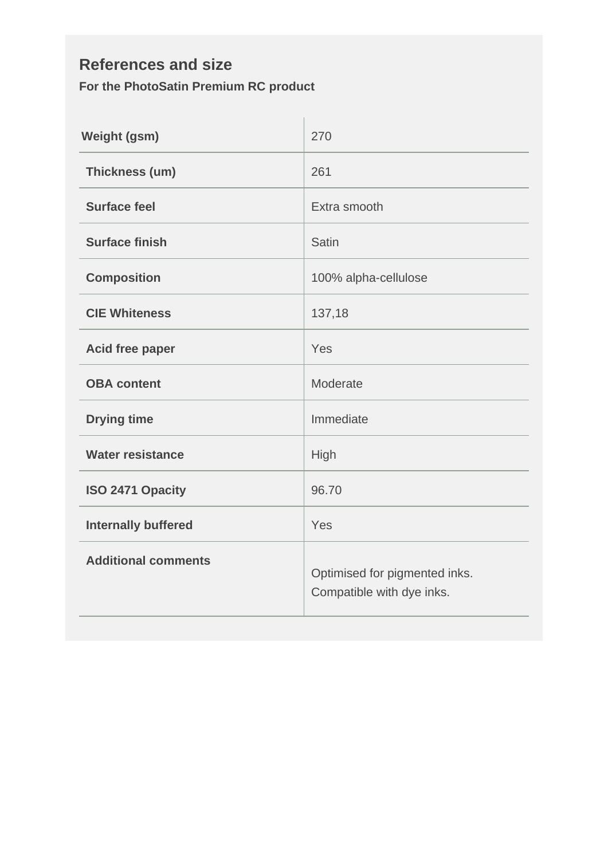#### **References and size For the PhotoSatin Premium RC product**

| <b>Weight (gsm)</b>        | 270                                                        |  |
|----------------------------|------------------------------------------------------------|--|
| Thickness (um)             | 261                                                        |  |
| <b>Surface feel</b>        | Extra smooth                                               |  |
| <b>Surface finish</b>      | Satin                                                      |  |
| <b>Composition</b>         | 100% alpha-cellulose                                       |  |
| <b>CIE Whiteness</b>       | 137,18                                                     |  |
| Acid free paper            | Yes                                                        |  |
| <b>OBA</b> content         | Moderate                                                   |  |
| <b>Drying time</b>         | Immediate                                                  |  |
| <b>Water resistance</b>    | High                                                       |  |
| ISO 2471 Opacity           | 96.70                                                      |  |
| <b>Internally buffered</b> | Yes                                                        |  |
| <b>Additional comments</b> | Optimised for pigmented inks.<br>Compatible with dye inks. |  |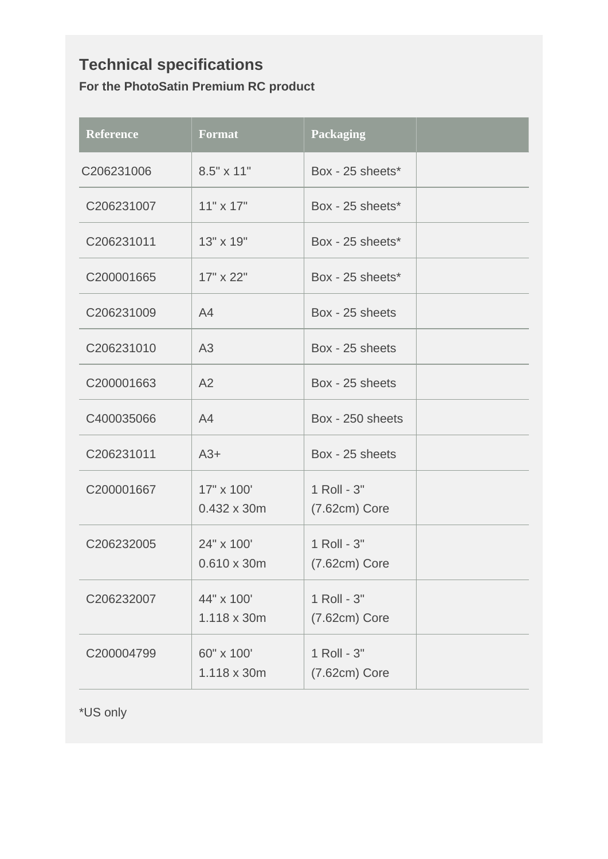### **Technical specifications For the PhotoSatin Premium RC product**

| <b>Reference</b> | <b>Format</b>                    | <b>Packaging</b>               |  |
|------------------|----------------------------------|--------------------------------|--|
| C206231006       | 8.5" x 11"                       | Box - 25 sheets*               |  |
| C206231007       | $11" \times 17"$                 | Box - 25 sheets*               |  |
| C206231011       | 13" x 19"                        | Box - 25 sheets*               |  |
| C200001665       | 17" x 22"                        | Box - 25 sheets*               |  |
| C206231009       | A4                               | Box - 25 sheets                |  |
| C206231010       | A <sub>3</sub>                   | Box - 25 sheets                |  |
| C200001663       | A2                               | Box - 25 sheets                |  |
| C400035066       | A <sub>4</sub>                   | Box - 250 sheets               |  |
| C206231011       | $A3+$                            | Box - 25 sheets                |  |
| C200001667       | 17" x 100'<br>0.432 x 30m        | 1 Roll - 3"<br>$(7.62cm)$ Core |  |
| C206232005       | 24" x 100'<br>$0.610 \times 30m$ | 1 Roll - 3"<br>$(7.62cm)$ Core |  |
| C206232007       | 44" x 100'<br>1.118 x 30m        | 1 Roll - 3"<br>$(7.62cm)$ Core |  |
| C200004799       | 60" x 100'<br>1.118 x 30m        | 1 Roll - 3"<br>$(7.62cm)$ Core |  |

\*US only